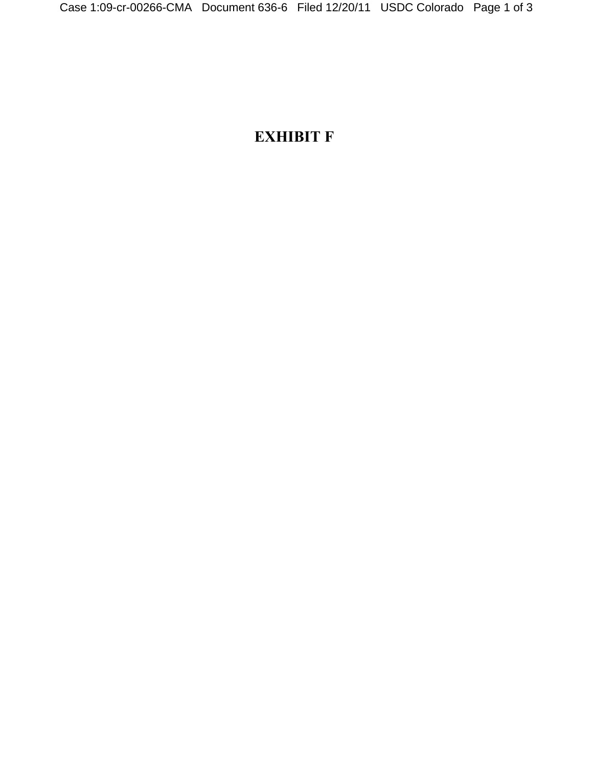## **EXHIBIT F**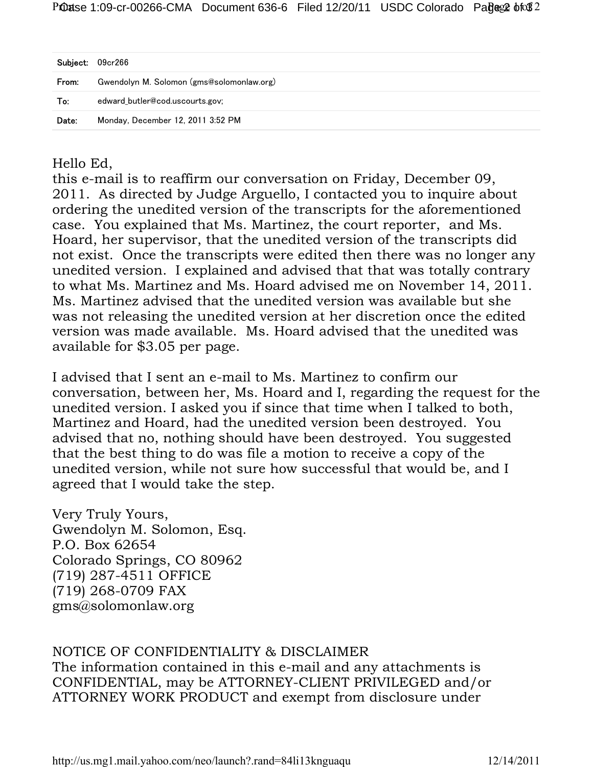| Subject: | 09cr266                                   |
|----------|-------------------------------------------|
| From:    | Gwendolyn M. Solomon (gms@solomonlaw.org) |
| To:      | edward butler@cod.uscourts.gov;           |
| Date:    | Monday, December 12, 2011 3:52 PM         |

Hello Ed,

this e-mail is to reaffirm our conversation on Friday, December 09, 2011. As directed by Judge Arguello, I contacted you to inquire about ordering the unedited version of the transcripts for the aforementioned case. You explained that Ms. Martinez, the court reporter, and Ms. Hoard, her supervisor, that the unedited version of the transcripts did not exist. Once the transcripts were edited then there was no longer any unedited version. I explained and advised that that was totally contrary to what Ms. Martinez and Ms. Hoard advised me on November 14, 2011. Ms. Martinez advised that the unedited version was available but she was not releasing the unedited version at her discretion once the edited version was made available. Ms. Hoard advised that the unedited was available for \$3.05 per page.

I advised that I sent an e-mail to Ms. Martinez to confirm our conversation, between her, Ms. Hoard and I, regarding the request for the unedited version. I asked you if since that time when I talked to both, Martinez and Hoard, had the unedited version been destroyed. You advised that no, nothing should have been destroyed. You suggested that the best thing to do was file a motion to receive a copy of the unedited version, while not sure how successful that would be, and I agreed that I would take the step.

Very Truly Yours, Gwendolyn M. Solomon, Esq. P.O. Box 62654 Colorado Springs, CO 80962 (719) 287-4511 OFFICE (719) 268-0709 FAX gms@solomonlaw.org

## NOTICE OF CONFIDENTIALITY & DISCLAIMER

The information contained in this e-mail and any attachments is CONFIDENTIAL, may be ATTORNEY-CLIENT PRIVILEGED and/or ATTORNEY WORK PRODUCT and exempt from disclosure under